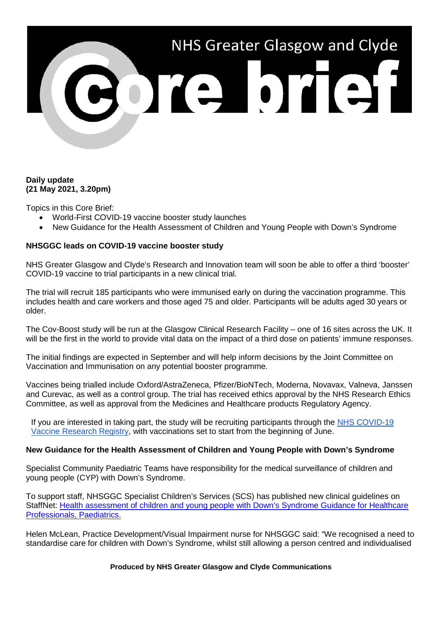

# **Daily update (21 May 2021, 3.20pm)**

Topics in this Core Brief:

- World-First COVID-19 vaccine booster study launches
- New Guidance for the Health Assessment of Children and Young People with Down's Syndrome

## **NHSGGC leads on COVID-19 vaccine booster study**

NHS Greater Glasgow and Clyde's Research and Innovation team will soon be able to offer a third 'booster' COVID-19 vaccine to trial participants in a new clinical trial.

The trial will recruit 185 participants who were immunised early on during the vaccination programme. This includes health and care workers and those aged 75 and older. Participants will be adults aged 30 years or older.

The Cov-Boost study will be run at the Glasgow Clinical Research Facility – one of 16 sites across the UK. It will be the first in the world to provide vital data on the impact of a third dose on patients' immune responses.

The initial findings are expected in September and will help inform decisions by the Joint Committee on Vaccination and Immunisation on any potential booster programme.

Vaccines being trialled include Oxford/AstraZeneca, Pfizer/BioNTech, Moderna, Novavax, Valneva, Janssen and Curevac, as well as a control group. The trial has received ethics approval by the NHS Research Ethics Committee, as well as approval from the Medicines and Healthcare products Regulatory Agency.

If you are interested in taking part, the study will be recruiting participants through the [NHS COVID-19](http://www.nhs.uk/researchcontact)  [Vaccine Research Registry,](http://www.nhs.uk/researchcontact) with vaccinations set to start from the beginning of June.

## **New Guidance for the Health Assessment of Children and Young People with Down's Syndrome**

Specialist Community Paediatric Teams have responsibility for the medical surveillance of children and young people (CYP) with Down's Syndrome.

To support staff, NHSGGC Specialist Children's Services (SCS) has published new clinical guidelines on StaffNet: [Health assessment of children and young people with Down's Syndrome Guidance for Healthcare](http://www.staffnet.ggc.scot.nhs.uk/Info%20Centre/PoliciesProcedures/GGCClinicalGuidelines/GGC%20Clinical%20Guidelines%20Electronic%20Resource%20Direct/Health%20assessment%20of%20children%20and%20young%20people%20with%20Downs%20Syndrome,%20Paediatrics.pdf)  [Professionals, Paediatrics.](http://www.staffnet.ggc.scot.nhs.uk/Info%20Centre/PoliciesProcedures/GGCClinicalGuidelines/GGC%20Clinical%20Guidelines%20Electronic%20Resource%20Direct/Health%20assessment%20of%20children%20and%20young%20people%20with%20Downs%20Syndrome,%20Paediatrics.pdf)

Helen McLean, Practice Development/Visual Impairment nurse for NHSGGC said: "We recognised a need to standardise care for children with Down's Syndrome, whilst still allowing a person centred and individualised

### **Produced by NHS Greater Glasgow and Clyde Communications**